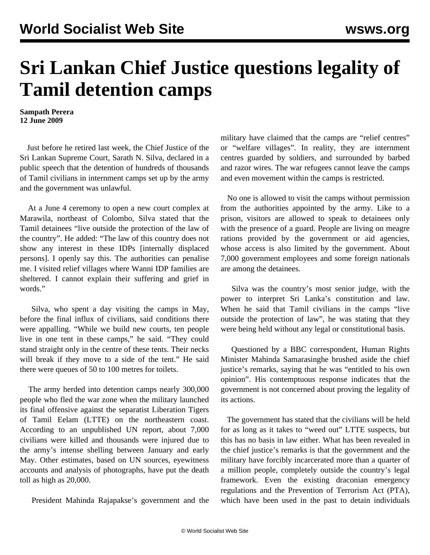## **Sri Lankan Chief Justice questions legality of Tamil detention camps**

**Sampath Perera 12 June 2009**

 Just before he retired last week, the Chief Justice of the Sri Lankan Supreme Court, Sarath N. Silva, declared in a public speech that the detention of hundreds of thousands of Tamil civilians in internment camps set up by the army and the government was unlawful.

 At a June 4 ceremony to open a new court complex at Marawila, northeast of Colombo, Silva stated that the Tamil detainees "live outside the protection of the law of the country". He added: "The law of this country does not show any interest in these IDPs [internally displaced persons]. I openly say this. The authorities can penalise me. I visited relief villages where Wanni IDP families are sheltered. I cannot explain their suffering and grief in words."

 Silva, who spent a day visiting the camps in May, before the final influx of civilians, said conditions there were appalling. "While we build new courts, ten people live in one tent in these camps," he said. "They could stand straight only in the centre of these tents. Their necks will break if they move to a side of the tent." He said there were queues of 50 to 100 metres for toilets.

 The army herded into detention camps nearly 300,000 people who fled the war zone when the military launched its final offensive against the separatist Liberation Tigers of Tamil Eelam (LTTE) on the northeastern coast. According to an unpublished UN report, about 7,000 civilians were killed and thousands were injured due to the army's intense shelling between January and early May. Other estimates, based on UN sources, eyewitness accounts and analysis of photographs, have put the death toll as high as 20,000.

President Mahinda Rajapakse's government and the

military have claimed that the camps are "relief centres" or "welfare villages". In reality, they are internment centres guarded by soldiers, and surrounded by barbed and razor wires. The war refugees cannot leave the camps and even movement within the camps is restricted.

 No one is allowed to visit the camps without permission from the authorities appointed by the army. Like to a prison, visitors are allowed to speak to detainees only with the presence of a guard. People are living on meagre rations provided by the government or aid agencies, whose access is also limited by the government. About 7,000 government employees and some foreign nationals are among the detainees.

 Silva was the country's most senior judge, with the power to interpret Sri Lanka's constitution and law. When he said that Tamil civilians in the camps "live outside the protection of law", he was stating that they were being held without any legal or constitutional basis.

 Questioned by a BBC correspondent, Human Rights Minister Mahinda Samarasinghe brushed aside the chief justice's remarks, saying that he was "entitled to his own opinion". His contemptuous response indicates that the government is not concerned about proving the legality of its actions.

 The government has stated that the civilians will be held for as long as it takes to "weed out" LTTE suspects, but this has no basis in law either. What has been revealed in the chief justice's remarks is that the government and the military have forcibly incarcerated more than a quarter of a million people, completely outside the country's legal framework. Even the existing draconian emergency regulations and the Prevention of Terrorism Act (PTA), which have been used in the past to detain individuals